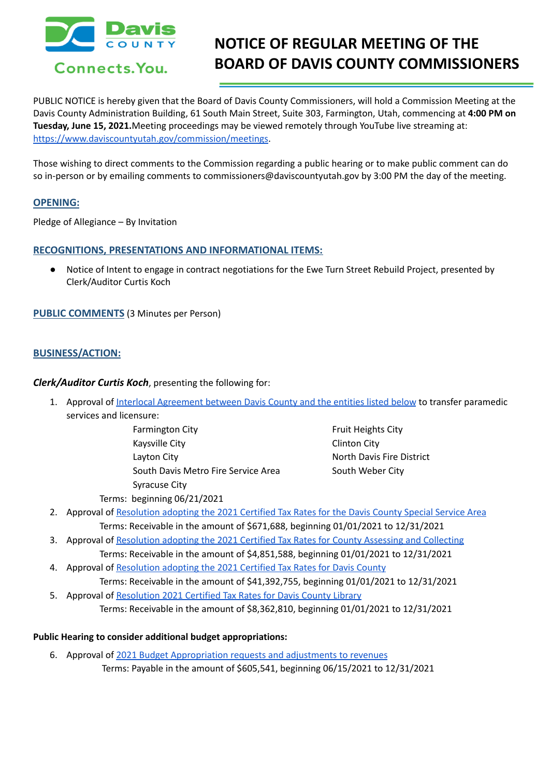

# **NOTICE OF REGULAR MEETING OF THE BOARD OF DAVIS COUNTY COMMISSIONERS**

PUBLIC NOTICE is hereby given that the Board of Davis County Commissioners, will hold a Commission Meeting at the Davis County Administration Building, 61 South Main Street, Suite 303, Farmington, Utah, commencing at **4:00 PM on Tuesday, June 15, 2021.**Meeting proceedings may be viewed remotely through YouTube live streaming at: [https://www.daviscountyutah.gov/commission/meetings.](https://www.daviscountyutah.gov/commission/meetings)

Those wishing to direct comments to the Commission regarding a public hearing or to make public comment can do so in-person or by emailing comments to commissioners@daviscountyutah.gov by 3:00 PM the day of the meeting.

## **OPENING:**

Pledge of Allegiance – By Invitation

## **RECOGNITIONS, PRESENTATIONS AND INFORMATIONAL ITEMS:**

● Notice of Intent to engage in contract negotiations for the Ewe Turn Street Rebuild Project, presented by Clerk/Auditor Curtis Koch

**PUBLIC COMMENTS** (3 Minutes per Person)

# **BUSINESS/ACTION:**

*Clerk/Auditor Curtis Koch*, presenting the following for:

- 1. Approval of Interlocal [Agreement](https://drive.google.com/file/d/1uOpTlmYG_whmZoT3Lbp9uuB-g2nDO3FX/view?usp=drivesdk) between Davis County and the entities listed below to transfer paramedic services and licensure:
	- Farmington City **Fruit Heights City Fruit Heights City** Kaysville City **Clinton City** Layton City North Davis Fire District South Davis Metro Fire Service Area South Weber City Syracuse City

- Terms: beginning 06/21/2021
- 2. Approval of [Resolution](https://drive.google.com/file/d/1UsXjjIBygZwMcd7b7gR094wJBKdZ53_1/view?usp=drivesdk) adopting the 2021 Certified Tax Rates for the Davis County Special Service Area Terms: Receivable in the amount of \$671,688, beginning 01/01/2021 to 12/31/2021
- 3. Approval of [Resolution](https://drive.google.com/file/d/1xVMO5yIqLpjwhl9vcgVvGjM_hnhbQUul/view?usp=drivesdk) adopting the 2021 Certified Tax Rates for County Assessing and Collecting Terms: Receivable in the amount of \$4,851,588, beginning 01/01/2021 to 12/31/2021
- 4. Approval of [Resolution](https://drive.google.com/file/d/1vceaiCGhwQ9X4-jfkBxNU1W39Fp2OeUX/view?usp=drivesdk) adopting the 2021 Certified Tax Rates for Davis County Terms: Receivable in the amount of \$41,392,755, beginning 01/01/2021 to 12/31/2021
- 5. Approval of [Resolution](https://drive.google.com/file/d/1jopseaV0AxNB-BAEIXjPF9dIs3RKdy41/view?usp=drivesdk) 2021 Certified Tax Rates for Davis County Library Terms: Receivable in the amount of \$8,362,810, beginning 01/01/2021 to 12/31/2021

## **Public Hearing to consider additional budget appropriations:**

6. Approval of 2021 Budget [Appropriation](https://drive.google.com/file/d/1oMqYy-HZZMtnwCeEpnxL4zAV3KesoleA/view?usp=drivesdk) requests and adjustments to revenues Terms: Payable in the amount of \$605,541, beginning 06/15/2021 to 12/31/2021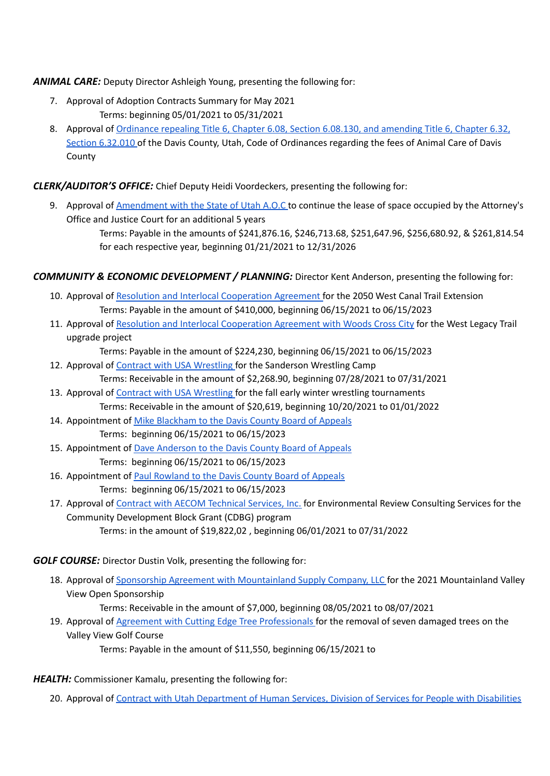# *ANIMAL CARE:* Deputy Director Ashleigh Young, presenting the following for:

- 7. Approval of Adoption Contracts Summary for May 2021 Terms: beginning 05/01/2021 to 05/31/2021
- 8. Approval of [Ordinance](https://drive.google.com/file/d/1Nt3dmqgOJ2S_2OiS8Y2Y54wpmyIOwYoa/view?usp=drivesdk) repealing Title 6, Chapter 6.08, Section 6.08.130, and amending Title 6, Chapter 6.32, Section [6.32.010](https://drive.google.com/file/d/1Nt3dmqgOJ2S_2OiS8Y2Y54wpmyIOwYoa/view?usp=drivesdk) of the Davis County, Utah, Code of Ordinances regarding the fees of Animal Care of Davis County

# *CLERK/AUDITOR'S OFFICE:* Chief Deputy Heidi Voordeckers, presenting the following for:

9. Approval of [Amendment](https://drive.google.com/file/d/1s7lEGki5zTt4IwL7SbAnF0S0f966-oNR/view?usp=drivesdk) with the State of Utah A.O.C to continue the lease of space occupied by the Attorney's Office and Justice Court for an additional 5 years

> Terms: Payable in the amounts of \$241,876.16, \$246,713.68, \$251,647.96, \$256,680.92, & \$261,814.54 for each respective year, beginning 01/21/2021 to 12/31/2026

## *COMMUNITY & ECONOMIC DEVELOPMENT / PLANNING:* Director Kent Anderson, presenting the following for:

- 10. Approval of Resolution and Interlocal [Cooperation](https://drive.google.com/file/d/10dQtVDcWT1tIh8fxo1sM-S1-Uj_ky5Kj/view?usp=drivesdk) Agreement for the 2050 West Canal Trail Extension Terms: Payable in the amount of \$410,000, beginning 06/15/2021 to 06/15/2023
- 11. Approval of Resolution and Interlocal [Cooperation](https://drive.google.com/file/d/1zlfAWA1hZSCslAkpn2J4w1np7cYh-kQF/view?usp=drivesdk) Agreement with Woods Cross City for the West Legacy Trail upgrade project

Terms: Payable in the amount of \$224,230, beginning 06/15/2021 to 06/15/2023

- 12. Approval of Contract with USA [Wrestling](https://drive.google.com/file/d/1z7nyofUOrPNg5UDeAs69-Ni_snNZpeUe/view?usp=drivesdk) for the Sanderson Wrestling Camp Terms: Receivable in the amount of \$2,268.90, beginning 07/28/2021 to 07/31/2021
- 13. Approval of Contract with USA [Wrestling](https://drive.google.com/file/d/1yld-K_hzTtWbxTD3mfBq8AmUCi8a9weX/view?usp=drivesdk) for the fall early winter wrestling tournaments Terms: Receivable in the amount of \$20,619, beginning 10/20/2021 to 01/01/2022
- 14. Appointment of Mike [Blackham](https://drive.google.com/file/d/1Ok1LIqmyCxnkYndfn-3Y5LZ_Q7blqtX1/view?usp=drivesdk) to the Davis County Board of Appeals Terms: beginning 06/15/2021 to 06/15/2023
- 15. Appointment of Dave [Anderson](https://drive.google.com/file/d/1v6ssyKVomfmCJwdoO-9b-jTPHOapJQYE/view?usp=drivesdk) to the Davis County Board of Appeals Terms: beginning 06/15/2021 to 06/15/2023
- 16. Appointment of Paul [Rowland](https://drive.google.com/file/d/1Tay_lnLF3rm4G7JX36M1B3WCyB1K6NhC/view?usp=drivesdk) to the Davis County Board of Appeals Terms: beginning 06/15/2021 to 06/15/2023
- 17. Approval of Contract with AECOM [Technical](https://drive.google.com/file/d/1MUH6SG9SinjLl9XJDLU-Cqug8KVm2Fqt/view?usp=drivesdk) Services, Inc. for Environmental Review Consulting Services for the Community Development Block Grant (CDBG) program

Terms: in the amount of \$19,822,02 , beginning 06/01/2021 to 07/31/2022

## *GOLF COURSE:* Director Dustin Volk, presenting the following for:

18. Approval of Sponsorship Agreement with [Mountainland](https://drive.google.com/file/d/1m_HDs0c9pFgVzsdDhoLhDIRDYj8zVHnP/view?usp=drivesdk) Supply Company, LLC for the 2021 Mountainland Valley View Open Sponsorship

Terms: Receivable in the amount of \$7,000, beginning 08/05/2021 to 08/07/2021

19. Approval of Agreement with Cutting Edge Tree [Professionals](https://drive.google.com/file/d/1wS4r0ednWwbedZpN13qniY-fguHx6SAF/view?usp=drivesdk) for the removal of seven damaged trees on the Valley View Golf Course

Terms: Payable in the amount of \$11,550, beginning 06/15/2021 to

## *HEALTH:* Commissioner Kamalu, presenting the following for:

20. Approval of Contract with Utah [Department](https://drive.google.com/file/d/1jxZ6V6dVzDpvZY53dhah9MzER-rHXNGO/view?usp=drivesdk) of Human Services, Division of Services for People with Disabilities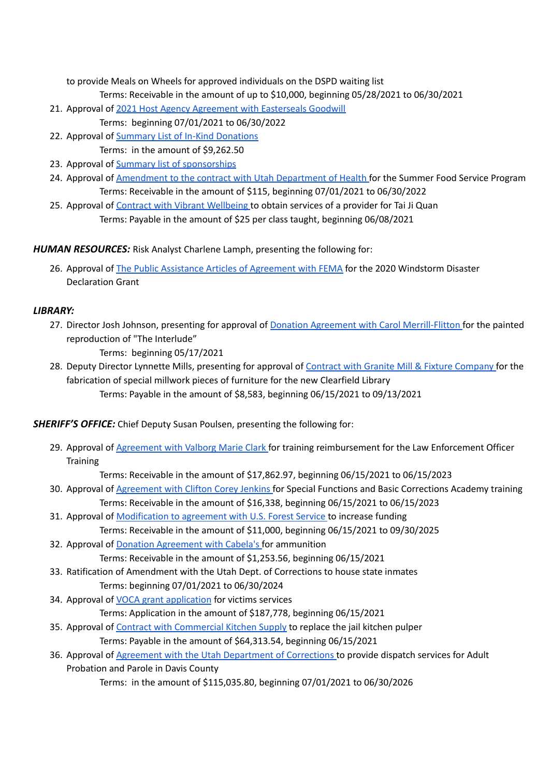to provide Meals on Wheels for approved individuals on the DSPD waiting list

Terms: Receivable in the amount of up to \$10,000, beginning 05/28/2021 to 06/30/2021

- 21. Approval of 2021 Host Agency [Agreement](https://drive.google.com/file/d/1dq8TMV_59wTSlxGqfbDOMLE9NGc31kKU/view?usp=drivesdk) with Easterseals Goodwill
- Terms: beginning 07/01/2021 to 06/30/2022 22. Approval of Summary List of In-Kind [Donations](https://drive.google.com/file/d/12nsWIoAgX2X68M7yZnsI_JLKvB9ZqP0-/view?usp=drivesdk)
	- Terms: in the amount of \$9,262.50
- 23. Approval of Summary list of [sponsorships](https://drive.google.com/file/d/1AcYF_6-VvGGz03VQ6sUTVmbYxtQ9cGBt/view?usp=drivesdk)
- 24. Approval of [Amendment](https://drive.google.com/file/d/1OJeV6jPhdu3iLoQdNphZuLYsgkK6U4VW/view?usp=drivesdk) to the contract with Utah Department of Health for the Summer Food Service Program Terms: Receivable in the amount of \$115, beginning 07/01/2021 to 06/30/2022
- 25. Approval of Contract with Vibrant [Wellbeing](https://drive.google.com/file/d/11zdwFfHc-FyTEnND_KeVOQ8BD0gFnQXJ/view?usp=drivesdk) to obtain services of a provider for Tai Ji Quan Terms: Payable in the amount of \$25 per class taught, beginning 06/08/2021

*HUMAN RESOURCES:* Risk Analyst Charlene Lamph, presenting the following for:

26. Approval of The Public Assistance Articles of [Agreement](https://drive.google.com/file/d/1BfYtrjjkiN7GVr8spNLF5FHZHVyc_QZf/view?usp=drivesdk) with FEMA for the 2020 Windstorm Disaster Declaration Grant

# *LIBRARY:*

27. Director Josh Johnson, presenting for approval of **Donation Agreement with Carol [Merrill-Flitton](https://drive.google.com/file/d/1WBcWnwqB6rtBxmDIdW57jL1Ure2Ii6pQ/view?usp=drivesdk)** for the painted reproduction of "The Interlude"

Terms: beginning 05/17/2021

28. Deputy Director Lynnette Mills, presenting for approval of Contract with Granite Mill & Fixture [Company](https://drive.google.com/file/d/1l3-Y5eVDVUCwBWIg_v90xRn-6ctJZ-ke/view?usp=drivesdk) for the fabrication of special millwork pieces of furniture for the new Clearfield Library Terms: Payable in the amount of \$8,583, beginning 06/15/2021 to 09/13/2021

*SHERIFF'S OFFICE:* Chief Deputy Susan Poulsen, presenting the following for:

29. Approval of [Agreement](https://drive.google.com/file/d/1L7rf73ZXkfiNVvGN82uapokVUSHL69zM/view?usp=drivesdk) with Valborg Marie Clark for training reimbursement for the Law Enforcement Officer **Training** 

Terms: Receivable in the amount of \$17,862.97, beginning 06/15/2021 to 06/15/2023

- 30. Approval of [Agreement](https://drive.google.com/file/d/1l-XZEhVMgnDrx8MsXRP93w9MNWHtaJhO/view?usp=drivesdk) with Clifton Corey Jenkins for Special Functions and Basic Corrections Academy training Terms: Receivable in the amount of \$16,338, beginning 06/15/2021 to 06/15/2023
- 31. Approval of [Modification](https://drive.google.com/file/d/1TjClGgVYcnkIDbFp8o7A91zxBXrHiuHm/view?usp=drivesdk) to agreement with U.S. Forest Service to increase funding Terms: Receivable in the amount of \$11,000, beginning 06/15/2021 to 09/30/2025
- 32. Approval of Donation [Agreement](https://drive.google.com/file/d/1sfbqrbmg-f9mpjx9cNBhBXWi8oSgqvnC/view?usp=drivesdk) with Cabela's for ammunition Terms: Receivable in the amount of \$1,253.56, beginning 06/15/2021
- 33. Ratification of Amendment with the Utah Dept. of Corrections to house state inmates Terms: beginning 07/01/2021 to 06/30/2024
- 34. Approval of VOCA grant [application](https://drive.google.com/file/d/1Wb2GZbLkA4ihHqj_kc_AVZtSdL-of83T/view?usp=drivesdk) for victims services

Terms: Application in the amount of \$187,778, beginning 06/15/2021

- 35. Approval of Contract with [Commercial](https://drive.google.com/file/d/1iiqvXVBPUqMmcPPiNh1EpMPjlL0F1icU/view?usp=drivesdk) Kitchen Supply to replace the jail kitchen pulper Terms: Payable in the amount of \$64,313.54, beginning 06/15/2021
- 36. Approval of Agreement with the Utah [Department](https://drive.google.com/file/d/1KYRMaNsBJcy0QVXx-_HUfLwzTJ4HIicZ/view?usp=drivesdk) of Corrections to provide dispatch services for Adult Probation and Parole in Davis County

Terms: in the amount of \$115,035.80, beginning 07/01/2021 to 06/30/2026